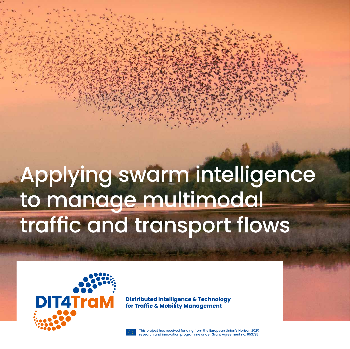# Applying swarm intelligence to manage multimodal traffic and transport flows



**Distributed Intelligence & Technology** for Traffic & Mobility Management

This project has received funding from the European Union's Horizon 2020 research and innovation programme under Grant Agreement no. 953783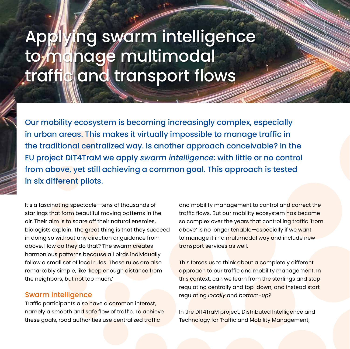## Applying swarm intelligence to manage multimodal traffic and transport flows

Our mobility ecosystem is becoming increasingly complex, especially in urban areas. This makes it virtually impossible to manage traffic in the traditional centralized way. Is another approach conceivable? In the EU project DIT4TraM we apply *swarm intelligence:* with little or no control from above, yet still achieving a common goal. This approach is tested in six different pilots.

It's a fascinating spectacle—tens of thousands of starlings that form beautiful moving patterns in the air. Their aim is to scare off their natural enemies, biologists explain. The great thing is that they succeed in doing so without any direction or guidance from above. How do they do that? The swarm creates harmonious patterns because all birds individually follow a small set of local rules. These rules are also remarkably simple, like 'keep enough distance from the neighbors, but not too much.'

#### Swarm intelligence

Traffic participants also have a common interest, namely a smooth and safe flow of traffic. To achieve these goals, road authorities use centralized traffic

and mobility management to control and correct the traffic flows. But our mobility ecosystem has become so complex over the years that controlling traffic 'from above' is no longer tenable—especially if we want to manage it in a multimodal way and include new transport services as well.

This forces us to think about a completely different approach to our traffic and mobility management. In this context, can we learn from the starlings and stop regulating centrally and top-down, and instead start regulating *locally* and *bottom-up*?

In the DIT4TraM project, Distributed Intelligence and Technology for Traffic and Mobility Management,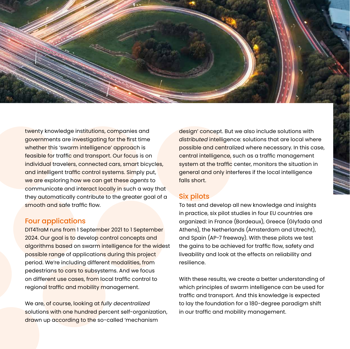

twenty knowledge institutions, companies and governments are investigating for the first time whether this 'swarm intelligence' approach is feasible for traffic and transport. Our focus is on individual travelers, connected cars, smart bicycles, and intelligent traffic control systems. Simply put, we are exploring how we can get these *agents* to communicate and interact locally in such a way that they automatically contribute to the greater goal of a smooth and safe traffic flow.

#### Four applications

DIT4TraM runs from 1 September 2021 to 1 September 2024. Our goal is to develop control concepts and algorithms based on swarm intelligence for the widest possible range of applications during this project period. We're including different modalities, from pedestrians to cars to subsystems. And we focus on different use cases, from local traffic control to regional traffic and mobility management.

We are, of course, looking at *fully decentralized* solutions with one hundred percent self-organization, drawn up according to the so-called 'mechanism

design' concept. But we also include solutions with *distributed* intelligence: solutions that are local where possible and centralized where necessary. In this case, central intelligence, such as a traffic management system at the traffic center, monitors the situation in general and only interferes if the local intelligence falls short.

#### Six pilots

To test and develop all new knowledge and insights in practice, six pilot studies in four EU countries are organized: in France (Bordeaux), Greece (Glyfada and Athens), the Netherlands (Amsterdam and Utrecht), and Spain (AP-7 freeway). With these pilots we test the gains to be achieved for traffic flow, safety and liveability and look at the effects on reliability and resilience.

With these results, we create a better understanding of which principles of swarm intelligence can be used for traffic and transport. And this knowledge is expected to lay the foundation for a 180-degree paradigm shift in our traffic and mobility management.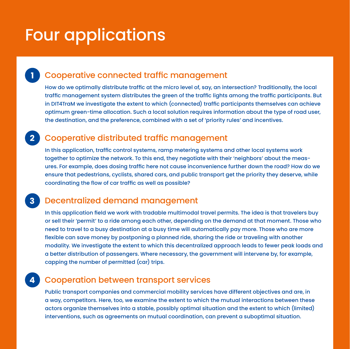## Four applications

## **1** Cooperative connected traffic management

How do we optimally distribute traffic at the micro level of, say, an intersection? Traditionally, the local traffic management system distributes the green of the traffic lights among the traffic participants. But in DIT4TraM we investigate the extent to which (connected) traffic participants themselves can achieve optimum green-time allocation. Such a local solution requires information about the type of road user, the destination, and the preference, combined with a set of 'priority rules' and incentives.

## **2** Cooperative distributed traffic management

In this application, traffic control systems, ramp metering systems and other local systems work together to optimize the network. To this end, they negotiate with their 'neighbors' about the measures. For example, does dosing traffic here not cause inconvenience further down the road? How do we ensure that pedestrians, cyclists, shared cars, and public transport get the priority they deserve, while coordinating the flow of car traffic as well as possible?

### **3** Decentralized demand management

In this application field we work with tradable multimodal travel permits. The idea is that travelers buy or sell their 'permit' to a ride among each other, depending on the demand at that moment. Those who need to travel to a busy destination at a busy time will automatically pay more. Those who are more flexible can save money by postponing a planned ride, sharing the ride or traveling with another modality. We investigate the extent to which this decentralized approach leads to fewer peak loads and a better distribution of passengers. Where necessary, the government will intervene by, for example, capping the number of permitted (car) trips.

## **4** Cooperation between transport services

Public transport companies and commercial mobility services have different objectives and are, in a way, competitors. Here, too, we examine the extent to which the mutual interactions between these actors organize themselves into a stable, possibly optimal situation and the extent to which (limited) interventions, such as agreements on mutual coordination, can prevent a suboptimal situation.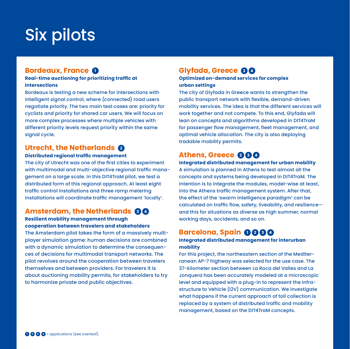## Six pilots

#### **Bordeaux, France 1**

#### **Real-time auctioning for prioritizing traffic at intersections**

Bordeaux is testing a new scheme for intersections with intelligent signal control, where (connected) road users negotiate priority. The two main test cases are: priority for cyclists and priority for shared car users. We will focus on more complex processes where multiple vehicles with different priority levels request priority within the same signal cycle.

#### **Utrecht, the Netherlands 2**

#### **Distributed regional traffic management**

The city of Utrecht was one of the first cities to experiment with multimodal and multi-objective regional traffic management on a large scale. In this DIT4TraM pilot, we test a distributed form of this regional approach. At least eight traffic control installations and three ramp metering installations will coordinate traffic management 'locally'.

#### **Amsterdam, the Netherlands 80**

#### **Resilient mobility management through cooperation between travelers and stakeholders**

The Amsterdam pilot takes the form of a massively multiplayer simulation game: human decisions are combined with a dynamic simulation to determine the consequences of decisions for multimodal transport networks. The pilot revolves around the cooperation between travelers themselves and between providers. For travelers it is about auctioning mobility permits, for stakeholders to try to harmonize private and public objectives.

### **Glyfada, Greece 3 <sup>4</sup>**

#### **Optimized on-demand services for complex urban settings**

The city of Glyfada in Greece wants to strengthen the public transport network with flexible, demand-driven mobility services. The idea is that the different services will work together and not compete. To this end, Glyfada will lean on concepts and algorithms developed in DIT4TraM for passenger flow management, fleet management, and optimal vehicle allocation. The city is also deploying tradable mobility permits.

### **Athens, Greece 2 <sup>3</sup> <sup>4</sup>**

**Integrated distributed management for urban mobility**  A simulation is planned in Athens to test almost all the concepts and systems being developed in DIT4TraM. The intention is to integrate the modules, model-wise at least, into the Athens traffic management system. After that, the effect of the 'swarm intelligence paradigm' can be calculated on traffic flow, safety, liveability, and resilience and this for situations as diverse as high summer, normal working days, accidents, and so on.

#### **Barcelona, Spain 1 <sup>2</sup> <sup>3</sup> <sup>4</sup>**

#### **Integrated distributed management for interurban mobility**

For this project, the northeastern section of the Mediterranean AP-7 highway was selected for the use case. The 37-kilometer section between La Roca del Valles and La Jonquera has been accurately modeled at a microscopic level and equipped with a plug-in to represent the Infrastructure to Vehicle (I2V) communication. We investigate what happens if the current approach of toll collection is replaced by a system of distributed traffic and mobility management, based on the DIT4TraM concepts.